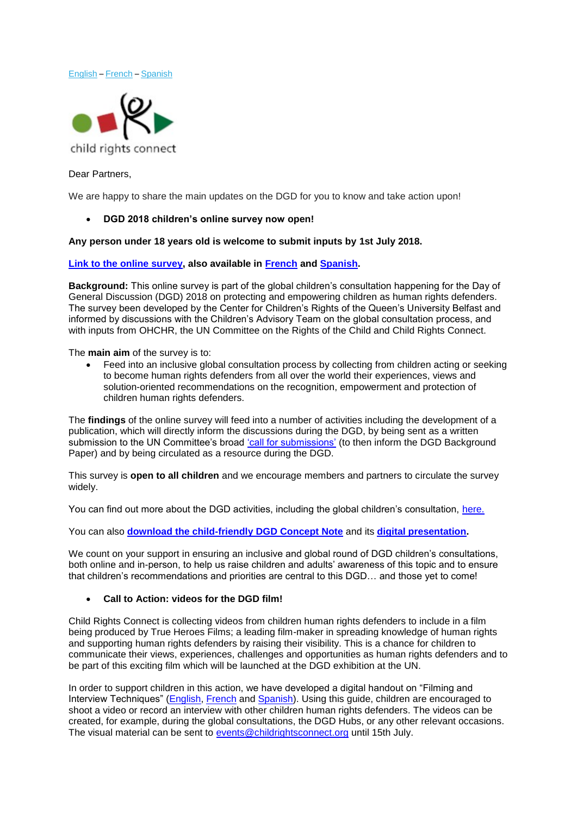[English](#page-0-0) – [French](#page-2-0) – [Spanish](#page-5-0)



### <span id="page-0-0"></span>Dear Partners,

We are happy to share the main updates on the DGD for you to know and take action upon!

### • **DGD 2018 children's online survey now open!**

### **Any person under 18 years old is welcome to submit inputs by 1st July 2018.**

### **[Link to the online survey,](https://childrightsconnect.nationbuilder.com/r?u=https%3A%2F%2Fwww.surveymonkey.com%2Fr%2FConsultation_Survey_EN&e=b1c071a79590f36356b2eb759669a244&utm_source=childrightsconnect&utm_medium=email&utm_campaign=dgd_online_survey&n=1) also available in [French](https://childrightsconnect.nationbuilder.com/r?u=https%3A%2F%2Fwww.surveymonkey.com%2Fr%2FConsultation_Survey_FR&e=b1c071a79590f36356b2eb759669a244&utm_source=childrightsconnect&utm_medium=email&utm_campaign=dgd_online_survey&n=2) and [Spanish.](https://childrightsconnect.nationbuilder.com/r?u=https%3A%2F%2Fwww.surveymonkey.com%2Fr%2FConsultation_Survey_ES&e=b1c071a79590f36356b2eb759669a244&utm_source=childrightsconnect&utm_medium=email&utm_campaign=dgd_online_survey&n=3)**

**Background:** This online survey is part of the global children's consultation happening for the Day of General Discussion (DGD) 2018 on protecting and empowering children as human rights defenders. The survey been developed by the Center for Children's Rights of the Queen's University Belfast and informed by discussions with the Children's Advisory Team on the global consultation process, and with inputs from OHCHR, the UN Committee on the Rights of the Child and Child Rights Connect.

The **main aim** of the survey is to:

• Feed into an inclusive global consultation process by collecting from children acting or seeking to become human rights defenders from all over the world their experiences, views and solution-oriented recommendations on the recognition, empowerment and protection of children human rights defenders.

The **findings** of the online survey will feed into a number of activities including the development of a publication, which will directly inform the discussions during the DGD, by being sent as a written submission to the UN Committee's broad ['call for submissions'](https://childrightsconnect.nationbuilder.com/r?u=http%3A%2F%2Fwww.ohchr.org%2FEN%2FHRBodies%2FCRC%2FPages%2FDiscussion2018.aspx&e=b1c071a79590f36356b2eb759669a244&utm_source=childrightsconnect&utm_medium=email&utm_campaign=dgd_online_survey&n=4) (to then inform the DGD Background Paper) and by being circulated as a resource during the DGD.

This survey is **open to all children** and we encourage members and partners to circulate the survey widely.

You can find out more about the DGD activities, including the global children's consultation, [here.](https://childrightsconnect.nationbuilder.com/r?u=http%3A%2F%2Fwww.childrightsconnect.org%2Fday-of-general-discussion%2F&e=b1c071a79590f36356b2eb759669a244&utm_source=childrightsconnect&utm_medium=email&utm_campaign=dgd_online_survey&n=5)

You can also **[download the child-friendly DGD Concept Note](https://childrightsconnect.nationbuilder.com/r?u=http%3A%2F%2Fwww.childrightsconnect.org%2Fwp-content%2Fuploads%2F2018%2F05%2FConceptNote_ChildFriendly_EN.pdf%3Fx37799&e=b1c071a79590f36356b2eb759669a244&utm_source=childrightsconnect&utm_medium=email&utm_campaign=dgd_online_survey&n=6)** and its **[digital presentation.](https://childrightsconnect.nationbuilder.com/r?u=https%3A%2F%2Fprezi.com%2Fview%2Fum9IvuCUvsqXvW617ncw%2F&e=b1c071a79590f36356b2eb759669a244&utm_source=childrightsconnect&utm_medium=email&utm_campaign=dgdnwsltr2&n=4&e=b1c071a79590f36356b2eb759669a244&utm_source=childrightsconnect&utm_medium=email&utm_campaign=dgd_online_survey&n=7)**

We count on your support in ensuring an inclusive and global round of DGD children's consultations, both online and in-person, to help us raise children and adults' awareness of this topic and to ensure that children's recommendations and priorities are central to this DGD… and those yet to come!

## • **Call to Action: videos for the DGD film!**

Child Rights Connect is collecting videos from children human rights defenders to include in a film being produced by True Heroes Films; a leading film-maker in spreading knowledge of human rights and supporting human rights defenders by raising their visibility. This is a chance for children to communicate their views, experiences, challenges and opportunities as human rights defenders and to be part of this exciting film which will be launched at the DGD exhibition at the UN.

In order to support children in this action, we have developed a digital handout on "Filming and Interview Techniques" [\(English,](http://www.childrightsconnect.org/wp-content/uploads/2018/04/FilmingAndInterviewTechniques_Handout.pdf) [French](http://www.childrightsconnect.org/wp-content/uploads/2018/04/TechniquesTournageEtEntretien_Handout_FR.pdf) and [Spanish\)](http://www.childrightsconnect.org/wp-content/uploads/2018/04/Técnicasdefilmaciónyentrevista_Folleto_Handout_SP.pdf). Using this guide, children are encouraged to shoot a video or record an interview with other children human rights defenders. The videos can be created, for example, during the global consultations, the DGD Hubs, or any other relevant occasions. The visual material can be sent to [events@childrightsconnect.org](mailto:events@childrightsconnect.org) until 15th July.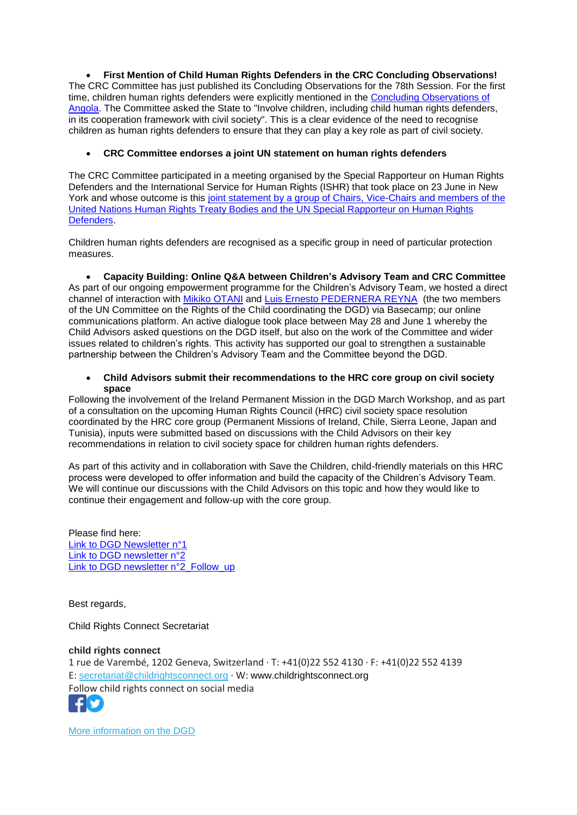• **First Mention of Child Human Rights Defenders in the CRC Concluding Observations!** The CRC Committee has just published its Concluding Observations for the 78th Session. For the first time, children human rights defenders were explicitly mentioned in the [Concluding Observations of](http://tbinternet.ohchr.org/Treaties/CRC/Shared%20Documents/AGO/CRC_C_AGO_CO_5-7_31363_E.pdf) [Angola.](http://tbinternet.ohchr.org/Treaties/CRC/Shared%20Documents/AGO/CRC_C_AGO_CO_5-7_31363_E.pdf) The Committee asked the State to "Involve children, including child human rights defenders, in its cooperation framework with civil society". This is a clear evidence of the need to recognise children as human rights defenders to ensure that they can play a key role as part of civil society.

# • **CRC Committee endorses a joint UN statement on human rights defenders**

The CRC Committee participated in a meeting organised by the Special Rapporteur on Human Rights Defenders and the International Service for Human Rights (ISHR) that took place on 23 June in New York and whose outcome is this joint statement by a group of Chairs, Vice-Chairs and members of the [United Nations Human Rights Treaty Bodies and the UN Special Rapporteur on Human Rights](https://www.ohchr.org/EN/NewsEvents/Pages/DisplayNews.aspx?NewsID=23154&LangID=E)  [Defenders.](https://www.ohchr.org/EN/NewsEvents/Pages/DisplayNews.aspx?NewsID=23154&LangID=E)

Children human rights defenders are recognised as a specific group in need of particular protection measures.

• **Capacity Building: Online Q&A between Children's Advisory Team and CRC Committee** As part of our ongoing empowerment programme for the Children's Advisory Team, we hosted a direct channel of interaction with [Mikiko OTANI](http://www.ohchr.org/Documents/HRBodies/CRC/Elections2016/MikikoOtani.docx) and [Luis Ernesto PEDERNERA REYNA](http://www.ohchr.org/Documents/HRBodies/CRC/Elections2016/LuisErnestoReyna.doc) (the two members of the UN Committee on the Rights of the Child coordinating the DGD) via Basecamp; our online communications platform. An active dialogue took place between May 28 and June 1 whereby the Child Advisors asked questions on the DGD itself, but also on the work of the Committee and wider issues related to children's rights. This activity has supported our goal to strengthen a sustainable partnership between the Children's Advisory Team and the Committee beyond the DGD.

### • **Child Advisors submit their recommendations to the HRC core group on civil society space**

Following the involvement of the Ireland Permanent Mission in the DGD March Workshop, and as part of a consultation on the upcoming Human Rights Council (HRC) civil society space resolution coordinated by the HRC core group (Permanent Missions of Ireland, Chile, Sierra Leone, Japan and Tunisia), inputs were submitted based on discussions with the Child Advisors on their key recommendations in relation to civil society space for children human rights defenders.

As part of this activity and in collaboration with Save the Children, child-friendly materials on this HRC process were developed to offer information and build the capacity of the Children's Advisory Team. We will continue our discussions with the Child Advisors on this topic and how they would like to continue their engagement and follow-up with the core group.

Please find here: [Link to DGD Newsletter n°1](http://www.childrightsconnect.org/wp-content/uploads/2018/04/ChildRightsConnect_DGD_Newsletter_1.pdf) [Link to DGD newsletter n°2](http://www.childrightsconnect.org/wp-content/uploads/2018/04/DGD_Newsletter2_Final.pdf?x37799) [Link to DGD newsletter n°2\\_Follow\\_up](http://www.childrightsconnect.org/wp-content/uploads/2018/06/ChildRightsConnect_DGD_Newsletter_2_Follow_up.pdf)

Best regards,

Child Rights Connect Secretariat

# **child rights connect**

1 rue de Varembé, 1202 Geneva, Switzerland · T: +41(0)22 552 4130 · F: +41(0)22 552 4139 E: [secretariat@childrightsconnect.org](mailto:secretariat@childrightsconnect.org) · W: www.childrightsconnect.org Follow child rights connect on social media



[More information on the DGD](http://www.childrightsconnect.org/connect-with-the-un-2/committee-on-the-rights-of-the-child/days-of-general-discussion/)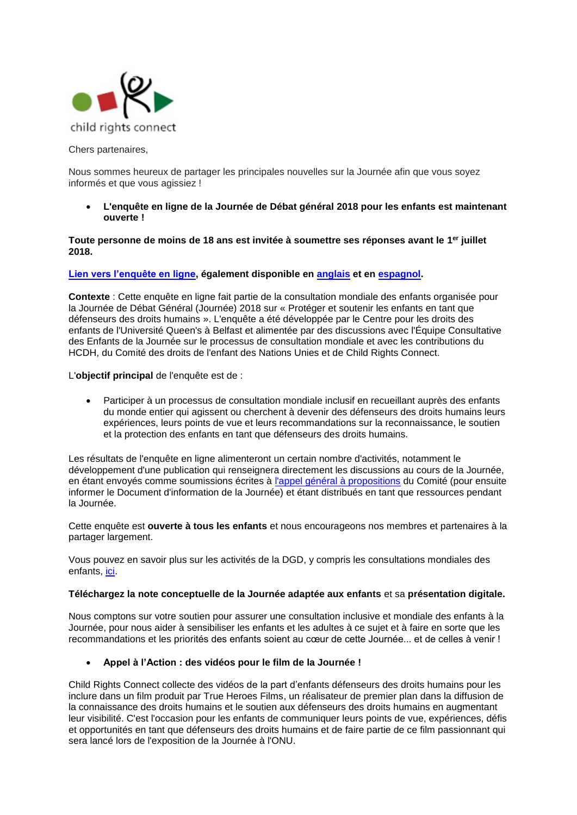

<span id="page-2-0"></span>Chers partenaires,

Nous sommes heureux de partager les principales nouvelles sur la Journée afin que vous soyez informés et que vous agissiez !

• **L'enquête en ligne de la Journée de Débat général 2018 pour les enfants est maintenant ouverte !**

### **Toute personne de moins de 18 ans est invitée à soumettre ses réponses avant le 1 er juillet 2018.**

## **[Lien vers l'enquête en ligne,](https://childrightsconnect.nationbuilder.com/r?u=https%3A%2F%2Fwww.surveymonkey.com%2Fr%2FConsultation_Survey_FR&e=b1c071a79590f36356b2eb759669a244&utm_source=childrightsconnect&utm_medium=email&utm_campaign=dgd_online_survey&n=8) également disponible en [anglais](https://childrightsconnect.nationbuilder.com/r?u=https%3A%2F%2Fwww.surveymonkey.com%2Fr%2FConsultation_Survey_EN&e=b1c071a79590f36356b2eb759669a244&utm_source=childrightsconnect&utm_medium=email&utm_campaign=dgd_online_survey&n=9) et en [espagnol.](https://childrightsconnect.nationbuilder.com/r?u=https%3A%2F%2Fwww.surveymonkey.com%2Fr%2FConsultation_Survey_ES&e=b1c071a79590f36356b2eb759669a244&utm_source=childrightsconnect&utm_medium=email&utm_campaign=dgd_online_survey&n=10)**

**Contexte** : Cette enquête en ligne fait partie de la consultation mondiale des enfants organisée pour la Journée de Débat Général (Journée) 2018 sur « Protéger et soutenir les enfants en tant que défenseurs des droits humains ». L'enquête a été développée par le Centre pour les droits des enfants de l'Université Queen's à Belfast et alimentée par des discussions avec l'Équipe Consultative des Enfants de la Journée sur le processus de consultation mondiale et avec les contributions du HCDH, du Comité des droits de l'enfant des Nations Unies et de Child Rights Connect.

L'**objectif principal** de l'enquête est de :

• Participer à un processus de consultation mondiale inclusif en recueillant auprès des enfants du monde entier qui agissent ou cherchent à devenir des défenseurs des droits humains leurs expériences, leurs points de vue et leurs recommandations sur la reconnaissance, le soutien et la protection des enfants en tant que défenseurs des droits humains.

Les résultats de l'enquête en ligne alimenteront un certain nombre d'activités, notamment le développement d'une publication qui renseignera directement les discussions au cours de la Journée, en étant envoyés comme soumissions écrites à [l'appel général à propositions](https://childrightsconnect.nationbuilder.com/r?u=http%3A%2F%2Fwww.ohchr.org%2FEN%2FHRBodies%2FCRC%2FPages%2FDiscussion2018.aspx&e=b1c071a79590f36356b2eb759669a244&utm_source=childrightsconnect&utm_medium=email&utm_campaign=dgd_online_survey&n=11) du Comité (pour ensuite informer le Document d'information de la Journée) et étant distribués en tant que ressources pendant la Journée.

Cette enquête est **ouverte à tous les enfants** et nous encourageons nos membres et partenaires à la partager largement.

Vous pouvez en savoir plus sur les activités de la DGD, y compris les consultations mondiales des enfants, [ici.](https://childrightsconnect.nationbuilder.com/r?u=http%3A%2F%2Fwww.childrightsconnect.org%2Fday-of-general-discussion-fr%2F&e=b1c071a79590f36356b2eb759669a244&utm_source=childrightsconnect&utm_medium=email&utm_campaign=dgd_online_survey&n=12)

### **[Téléchargez la note conceptuelle de la Journée adaptée aux enfants](https://childrightsconnect.nationbuilder.com/r?u=http%3A%2F%2Fwww.childrightsconnect.org%2Fwp-content%2Fuploads%2F2018%2F05%2FConceptNote_ChildFriendly_FR.pdf%3Fx37799&e=b1c071a79590f36356b2eb759669a244&utm_source=childrightsconnect&utm_medium=email&utm_campaign=dgd_online_survey&n=13)** et sa **[présentation digitale.](https://childrightsconnect.nationbuilder.com/r?u=https%3A%2F%2Fprezi.com%2Fview%2FrhzmehdPnUZ0yBMbyxko%2F&e=b1c071a79590f36356b2eb759669a244&utm_source=childrightsconnect&utm_medium=email&utm_campaign=dgdnwsltr2&n=25&e=b1c071a79590f36356b2eb759669a244&utm_source=childrightsconnect&utm_medium=email&utm_campaign=dgd_online_survey&n=14)**

Nous comptons sur votre soutien pour assurer une consultation inclusive et mondiale des enfants à la Journée, pour nous aider à sensibiliser les enfants et les adultes à ce sujet et à faire en sorte que les recommandations et les priorités des enfants soient au cœur de cette Journée... et de celles à venir !

### • **Appel à l'Action : des vidéos pour le film de la Journée !**

Child Rights Connect collecte des vidéos de la part d'enfants défenseurs des droits humains pour les inclure dans un film produit par True Heroes Films, un réalisateur de premier plan dans la diffusion de la connaissance des droits humains et le soutien aux défenseurs des droits humains en augmentant leur visibilité. C'est l'occasion pour les enfants de communiquer leurs points de vue, expériences, défis et opportunités en tant que défenseurs des droits humains et de faire partie de ce film passionnant qui sera lancé lors de l'exposition de la Journée à l'ONU.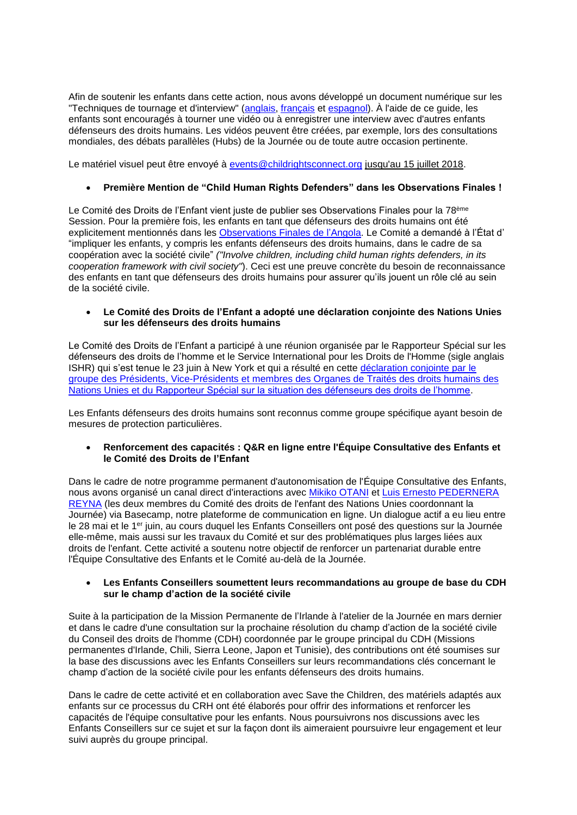Afin de soutenir les enfants dans cette action, nous avons développé un document numérique sur les "Techniques de tournage et d'interview" [\(anglais,](http://www.childrightsconnect.org/wp-content/uploads/2018/04/FilmingAndInterviewTechniques_Handout.pdf) [français](http://www.childrightsconnect.org/wp-content/uploads/2018/04/TechniquesTournageEtEntretien_Handout_FR.pdf) et [espagnol\)](http://www.childrightsconnect.org/wp-content/uploads/2018/04/Técnicasdefilmaciónyentrevista_Folleto_Handout_SP.pdf). À l'aide de ce guide, les enfants sont encouragés à tourner une vidéo ou à enregistrer une interview avec d'autres enfants défenseurs des droits humains. Les vidéos peuvent être créées, par exemple, lors des consultations mondiales, des débats parallèles (Hubs) de la Journée ou de toute autre occasion pertinente.

Le matériel visuel peut être envoyé à [events@childrightsconnect.org](mailto:events@childrightsconnect.org) jusqu'au 15 juillet 2018.

## • **Première Mention de "Child Human Rights Defenders" dans les Observations Finales !**

Le Comité des Droits de l'Enfant vient juste de publier ses Observations Finales pour la 78<sup>ème</sup> Session. Pour la première fois, les enfants en tant que défenseurs des droits humains ont été explicitement mentionnés dans les [Observations Finales de l'Angola.](http://tbinternet.ohchr.org/Treaties/CRC/Shared%20Documents/AGO/CRC_C_AGO_CO_5-7_31363_E.pdf) Le Comité a demandé à l'État d' "impliquer les enfants, y compris les enfants défenseurs des droits humains, dans le cadre de sa coopération avec la société civile" *("Involve children, including child human rights defenders, in its cooperation framework with civil society"*). Ceci est une preuve concrète du besoin de reconnaissance des enfants en tant que défenseurs des droits humains pour assurer qu'ils jouent un rôle clé au sein de la société civile.

## • **Le Comité des Droits de l'Enfant a adopté une déclaration conjointe des Nations Unies sur les défenseurs des droits humains**

Le Comité des Droits de l'Enfant a participé à une réunion organisée par le Rapporteur Spécial sur les défenseurs des droits de l'homme et le Service International pour les Droits de l'Homme (sigle anglais ISHR) qui s'est tenue le 23 juin à New York et qui a résulté en cette [déclaration conjointe par le](https://www.ohchr.org/EN/NewsEvents/Pages/DisplayNews.aspx?NewsID=23154&LangID=E)  groupe des Présidents, Vice-Présidents et [membres des Organes de Traités des droits humains des](https://www.ohchr.org/EN/NewsEvents/Pages/DisplayNews.aspx?NewsID=23154&LangID=E)  Nations Unies et du [Rapporteur Spécial sur la situation des défenseurs des droits de l'homme.](https://www.ohchr.org/EN/NewsEvents/Pages/DisplayNews.aspx?NewsID=23154&LangID=E)

Les Enfants défenseurs des droits humains sont reconnus comme groupe spécifique ayant besoin de mesures de protection particulières.

• **Renforcement des capacités : Q&R en ligne entre l'Équipe Consultative des Enfants et le Comité des Droits de l'Enfant**

Dans le cadre de notre programme permanent d'autonomisation de l'Équipe Consultative des Enfants, nous avons organisé un canal direct d'interactions avec [Mikiko OTANI](http://www.ohchr.org/Documents/HRBodies/CRC/Elections2016/MikikoOtani.docx) et [Luis Ernesto PEDERNERA](http://www.ohchr.org/Documents/HRBodies/CRC/Elections2016/LuisErnestoReyna.doc)  [REYNA](http://www.ohchr.org/Documents/HRBodies/CRC/Elections2016/LuisErnestoReyna.doc) (les deux membres du Comité des droits de l'enfant des Nations Unies coordonnant la Journée) via Basecamp, notre plateforme de communication en ligne. Un dialogue actif a eu lieu entre le 28 mai et le 1er juin, au cours duquel les Enfants Conseillers ont posé des questions sur la Journée elle-même, mais aussi sur les travaux du Comité et sur des problématiques plus larges liées aux droits de l'enfant. Cette activité a soutenu notre objectif de renforcer un partenariat durable entre l'Équipe Consultative des Enfants et le Comité au-delà de la Journée.

### • **Les Enfants Conseillers soumettent leurs recommandations au groupe de base du CDH sur le champ d'action de la société civile**

Suite à la participation de la Mission Permanente de l'Irlande à l'atelier de la Journée en mars dernier et dans le cadre d'une consultation sur la prochaine résolution du champ d'action de la société civile du Conseil des droits de l'homme (CDH) coordonnée par le groupe principal du CDH (Missions permanentes d'Irlande, Chili, Sierra Leone, Japon et Tunisie), des contributions ont été soumises sur la base des discussions avec les Enfants Conseillers sur leurs recommandations clés concernant le champ d'action de la société civile pour les enfants défenseurs des droits humains.

Dans le cadre de cette activité et en collaboration avec Save the Children, des matériels adaptés aux enfants sur ce processus du CRH ont été élaborés pour offrir des informations et renforcer les capacités de l'équipe consultative pour les enfants. Nous poursuivrons nos discussions avec les Enfants Conseillers sur ce sujet et sur la façon dont ils aimeraient poursuivre leur engagement et leur suivi auprès du groupe principal.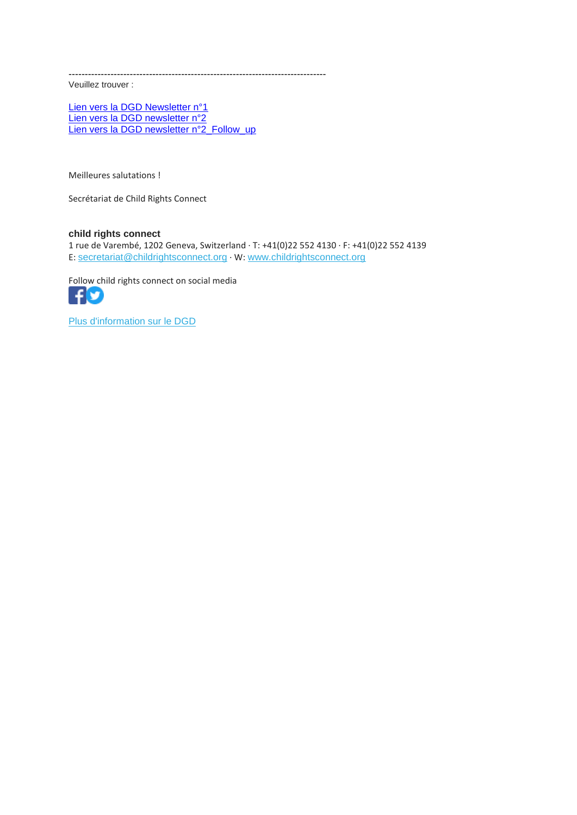--------------------------------------------------------------------------------

Veuillez trouver :

[Lien vers la DGD Newsletter n°1](http://www.childrightsconnect.org/wp-content/uploads/2018/04/ChildRightsConnect_DGD_Newsletter_1.pdf) [Lien vers la DGD newsletter n°2](http://www.childrightsconnect.org/wp-content/uploads/2018/04/DGD_Newsletter2_Final.pdf?x37799) [Lien vers la DGD newsletter n°2\\_Follow\\_up](http://www.childrightsconnect.org/wp-content/uploads/2018/06/ChildRightsConnect_DGD_Newsletter_2_Follow_up.pdf)

Meilleures salutations !

Secrétariat de Child Rights Connect

# **child rights connect**

1 rue de Varembé, 1202 Geneva, Switzerland · T: +41(0)22 552 4130 · F: +41(0)22 552 4139 E: [secretariat@childrightsconnect.org](mailto:secretariat@childrightsconnect.org) · W: [www.childrightsconnect.org](http://www.childrightsconnect.org/)

Follow child rights connect on social media



[Plus d'information sur le DGD](http://www.childrightsconnect.org/connect-with-the-un-2/committee-on-the-rights-of-the-child/days-of-general-discussion/)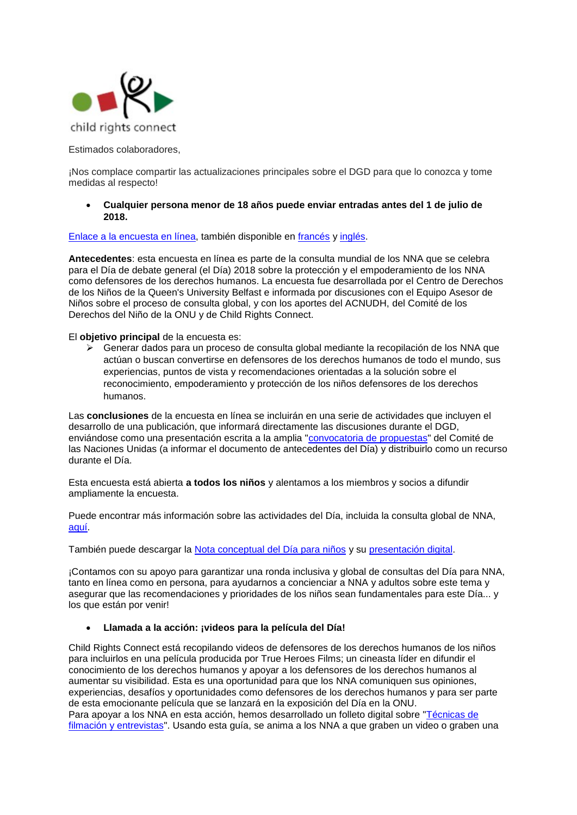

<span id="page-5-0"></span>Estimados colaboradores,

¡Nos complace compartir las actualizaciones principales sobre el DGD para que lo conozca y tome medidas al respecto!

• **Cualquier persona menor de 18 años puede enviar entradas antes del 1 de julio de 2018.**

### [Enlace a la encuesta en línea,](https://www.surveymonkey.com/r/Consultation_Survey_ES) también disponible en [francés](https://www.surveymonkey.com/r/Consultation_Survey_FR) y [inglés.](https://www.surveymonkey.com/r/Consultation_Survey_EN)

**Antecedentes**: esta encuesta en línea es parte de la consulta mundial de los NNA que se celebra para el Día de debate general (el Día) 2018 sobre la protección y el empoderamiento de los NNA como defensores de los derechos humanos. La encuesta fue desarrollada por el Centro de Derechos de los Niños de la Queen's University Belfast e informada por discusiones con el Equipo Asesor de Niños sobre el proceso de consulta global, y con los aportes del ACNUDH, del Comité de los Derechos del Niño de la ONU y de Child Rights Connect.

#### El **objetivo principal** de la encuesta es:

➢ Generar dados para un proceso de consulta global mediante la recopilación de los NNA que actúan o buscan convertirse en defensores de los derechos humanos de todo el mundo, sus experiencias, puntos de vista y recomendaciones orientadas a la solución sobre el reconocimiento, empoderamiento y protección de los niños defensores de los derechos humanos.

Las **conclusiones** de la encuesta en línea se incluirán en una serie de actividades que incluyen el desarrollo de una publicación, que informará directamente las discusiones durante el DGD, enviándose como una presentación escrita a la amplia ["convocatoria de propuestas"](https://www.ohchr.org/EN/HRBodies/CRC/Pages/Discussion2018.aspx) del Comité de las Naciones Unidas (a informar el documento de antecedentes del Día) y distribuirlo como un recurso durante el Día.

Esta encuesta está abierta **a todos los niños** y alentamos a los miembros y socios a difundir ampliamente la encuesta.

Puede encontrar más información sobre las actividades del Día, incluida la consulta global de NNA, [aquí.](http://www.childrightsconnect.org/day-of-general-discussion-sp/)

También puede descargar la [Nota conceptual del Día para niños](http://www.childrightsconnect.org/wp-content/uploads/2018/05/ConceptNote_ChildFriendly_ES.pdf?x37799) y su [presentación digital.](https://prezi.com/view/DypUxDyxJ7G1imP3Ltcn/)

¡Contamos con su apoyo para garantizar una ronda inclusiva y global de consultas del Día para NNA, tanto en línea como en persona, para ayudarnos a concienciar a NNA y adultos sobre este tema y asegurar que las recomendaciones y prioridades de los niños sean fundamentales para este Día... y los que están por venir!

### • **Llamada a la acción: ¡videos para la película del Día!**

Child Rights Connect está recopilando videos de defensores de los derechos humanos de los niños para incluirlos en una película producida por True Heroes Films; un cineasta líder en difundir el conocimiento de los derechos humanos y apoyar a los defensores de los derechos humanos al aumentar su visibilidad. Esta es una oportunidad para que los NNA comuniquen sus opiniones, experiencias, desafíos y oportunidades como defensores de los derechos humanos y para ser parte de esta emocionante película que se lanzará en la exposición del Día en la ONU. Para apoyar a los NNA en esta acción, hemos desarrollado un folleto digital sobre ["Técnicas de](http://www.childrightsconnect.org/wp-content/uploads/2018/06/T%C3%A9cnicasdefilmaci%C3%B3nyentrevista_Folleto_Handout_SP.pdf?x37799) 

[filmación y entrevistas"](http://www.childrightsconnect.org/wp-content/uploads/2018/06/T%C3%A9cnicasdefilmaci%C3%B3nyentrevista_Folleto_Handout_SP.pdf?x37799). Usando esta guía, se anima a los NNA a que graben un video o graben una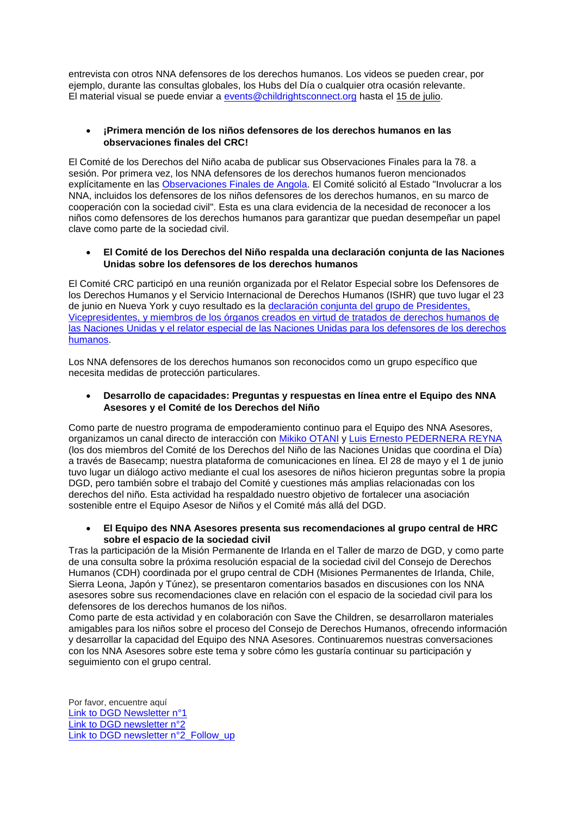entrevista con otros NNA defensores de los derechos humanos. Los videos se pueden crear, por ejemplo, durante las consultas globales, los Hubs del Día o cualquier otra ocasión relevante. El material visual se puede enviar a [events@childrightsconnect.org](mailto:events@childrightsconnect.org) hasta el 15 de julio.

# • **¡Primera mención de los niños defensores de los derechos humanos en las observaciones finales del CRC!**

El Comité de los Derechos del Niño acaba de publicar sus Observaciones Finales para la 78. a sesión. Por primera vez, los NNA defensores de los derechos humanos fueron mencionados explícitamente en las [Observaciones Finales de Angola.](http://tbinternet.ohchr.org/Treaties/CRC/Shared%20Documents/AGO/CRC_C_AGO_CO_5-7_31363_E.pdf) El Comité solicitó al Estado "Involucrar a los NNA, incluidos los defensores de los niños defensores de los derechos humanos, en su marco de cooperación con la sociedad civil". Esta es una clara evidencia de la necesidad de reconocer a los niños como defensores de los derechos humanos para garantizar que puedan desempeñar un papel clave como parte de la sociedad civil.

## • **El Comité de los Derechos del Niño respalda una declaración conjunta de las Naciones Unidas sobre los defensores de los derechos humanos**

El Comité CRC participó en una reunión organizada por el Relator Especial sobre los Defensores de los Derechos Humanos y el Servicio Internacional de Derechos Humanos (ISHR) que tuvo lugar el 23 de junio en Nueva York y cuyo resultado es la [declaración conjunta del grupo de Presidentes,](https://www.ohchr.org/EN/NewsEvents/Pages/DisplayNews.aspx?NewsID=23154&LangID=E)  [Vicepresidentes, y miembros de los órganos creados en virtud de tratados de derechos humanos de](https://www.ohchr.org/EN/NewsEvents/Pages/DisplayNews.aspx?NewsID=23154&LangID=E)  [las Naciones Unidas y el relator especial de las Naciones Unidas para los defensores de los derechos](https://www.ohchr.org/EN/NewsEvents/Pages/DisplayNews.aspx?NewsID=23154&LangID=E)  [humanos.](https://www.ohchr.org/EN/NewsEvents/Pages/DisplayNews.aspx?NewsID=23154&LangID=E)

Los NNA defensores de los derechos humanos son reconocidos como un grupo específico que necesita medidas de protección particulares.

## • **Desarrollo de capacidades: Preguntas y respuestas en línea entre el Equipo des NNA Asesores y el Comité de los Derechos del Niño**

Como parte de nuestro programa de empoderamiento continuo para el Equipo des NNA Asesores, organizamos un canal directo de interacción con [Mikiko OTANI](http://www.ohchr.org/Documents/HRBodies/CRC/Elections2016/MikikoOtani.docx) y [Luis Ernesto PEDERNERA REYNA](http://www.ohchr.org/Documents/HRBodies/CRC/Elections2016/LuisErnestoReyna.doc) (los dos miembros del Comité de los Derechos del Niño de las Naciones Unidas que coordina el Día) a través de Basecamp; nuestra plataforma de comunicaciones en línea. El 28 de mayo y el 1 de junio tuvo lugar un diálogo activo mediante el cual los asesores de niños hicieron preguntas sobre la propia DGD, pero también sobre el trabajo del Comité y cuestiones más amplias relacionadas con los derechos del niño. Esta actividad ha respaldado nuestro objetivo de fortalecer una asociación sostenible entre el Equipo Asesor de Niños y el Comité más allá del DGD.

## • **El Equipo des NNA Asesores presenta sus recomendaciones al grupo central de HRC sobre el espacio de la sociedad civil**

Tras la participación de la Misión Permanente de Irlanda en el Taller de marzo de DGD, y como parte de una consulta sobre la próxima resolución espacial de la sociedad civil del Consejo de Derechos Humanos (CDH) coordinada por el grupo central de CDH (Misiones Permanentes de Irlanda, Chile, Sierra Leona, Japón y Túnez), se presentaron comentarios basados en discusiones con los NNA asesores sobre sus recomendaciones clave en relación con el espacio de la sociedad civil para los defensores de los derechos humanos de los niños.

Como parte de esta actividad y en colaboración con Save the Children, se desarrollaron materiales amigables para los niños sobre el proceso del Consejo de Derechos Humanos, ofrecendo información y desarrollar la capacidad del Equipo des NNA Asesores. Continuaremos nuestras conversaciones con los NNA Asesores sobre este tema y sobre cómo les gustaría continuar su participación y seguimiento con el grupo central.

Por favor, encuentre aquí Link to [DGD Newsletter n°1](http://www.childrightsconnect.org/wp-content/uploads/2018/04/ChildRightsConnect_DGD_Newsletter_1.pdf) [Link to DGD newsletter n°2](http://www.childrightsconnect.org/wp-content/uploads/2018/04/DGD_Newsletter2_Final.pdf?x37799) [Link to DGD newsletter n°2\\_Follow\\_up](http://www.childrightsconnect.org/wp-content/uploads/2018/06/ChildRightsConnect_DGD_Newsletter_2_Follow_up.pdf)